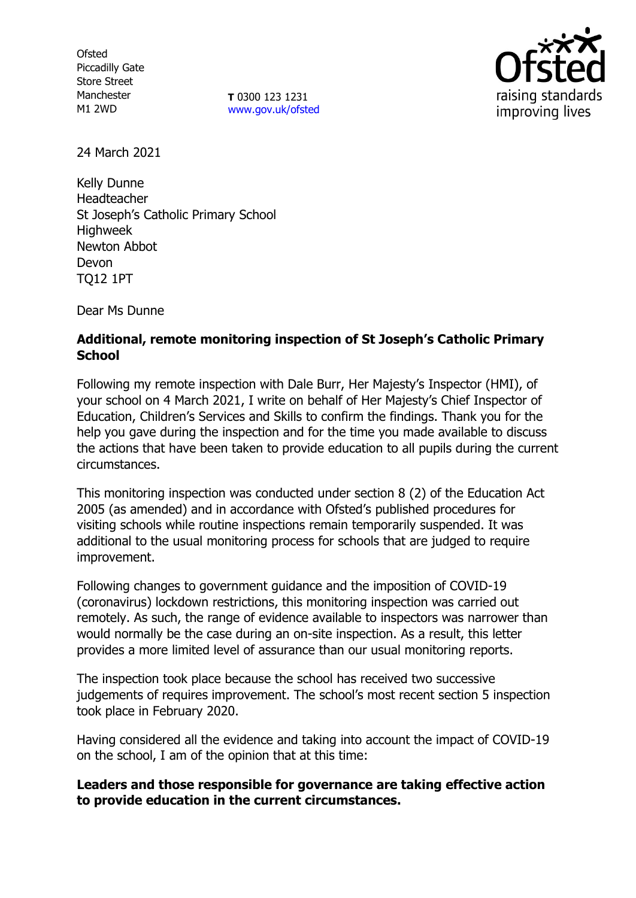**Ofsted** Piccadilly Gate Store Street Manchester M1 2WD

**T** 0300 123 1231 [www.gov.uk/ofsted](http://www.gov.uk/ofsted)



24 March 2021

Kelly Dunne Headteacher St Joseph's Catholic Primary School **Highweek** Newton Abbot Devon TQ12 1PT

Dear Ms Dunne

# **Additional, remote monitoring inspection of St Joseph's Catholic Primary School**

Following my remote inspection with Dale Burr, Her Majesty's Inspector (HMI), of your school on 4 March 2021, I write on behalf of Her Majesty's Chief Inspector of Education, Children's Services and Skills to confirm the findings. Thank you for the help you gave during the inspection and for the time you made available to discuss the actions that have been taken to provide education to all pupils during the current circumstances.

This monitoring inspection was conducted under section 8 (2) of the Education Act 2005 (as amended) and in accordance with Ofsted's published procedures for visiting schools while routine inspections remain temporarily suspended. It was additional to the usual monitoring process for schools that are judged to require improvement.

Following changes to government guidance and the imposition of COVID-19 (coronavirus) lockdown restrictions, this monitoring inspection was carried out remotely. As such, the range of evidence available to inspectors was narrower than would normally be the case during an on-site inspection. As a result, this letter provides a more limited level of assurance than our usual monitoring reports.

The inspection took place because the school has received two successive judgements of requires improvement. The school's most recent section 5 inspection took place in February 2020.

Having considered all the evidence and taking into account the impact of COVID-19 on the school, I am of the opinion that at this time:

## **Leaders and those responsible for governance are taking effective action to provide education in the current circumstances.**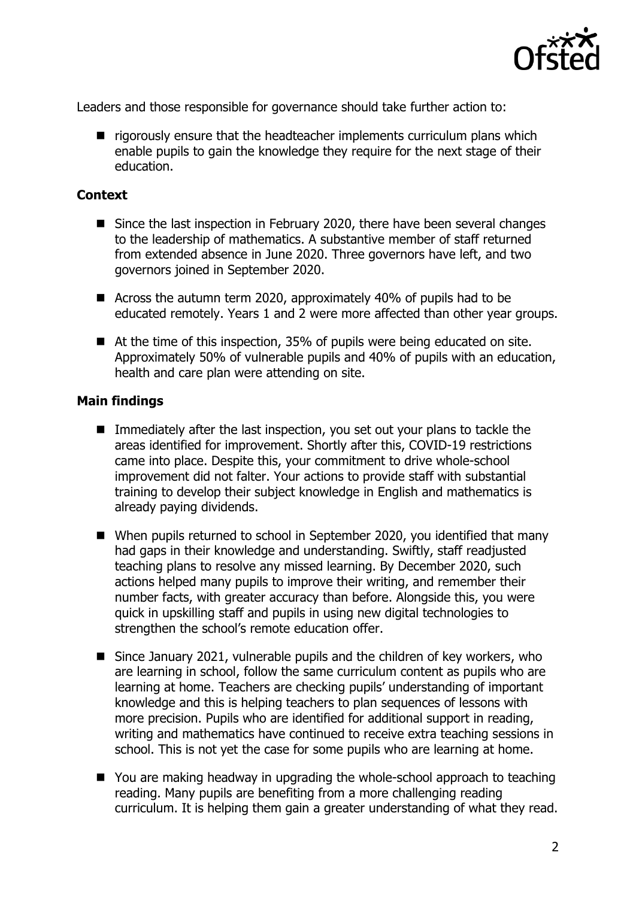

Leaders and those responsible for governance should take further action to:

 $\blacksquare$  rigorously ensure that the headteacher implements curriculum plans which enable pupils to gain the knowledge they require for the next stage of their education.

#### **Context**

- Since the last inspection in February 2020, there have been several changes to the leadership of mathematics. A substantive member of staff returned from extended absence in June 2020. Three governors have left, and two governors joined in September 2020.
- Across the autumn term 2020, approximately 40% of pupils had to be educated remotely. Years 1 and 2 were more affected than other year groups.
- At the time of this inspection, 35% of pupils were being educated on site. Approximately 50% of vulnerable pupils and 40% of pupils with an education, health and care plan were attending on site.

### **Main findings**

- Immediately after the last inspection, you set out your plans to tackle the areas identified for improvement. Shortly after this, COVID-19 restrictions came into place. Despite this, your commitment to drive whole-school improvement did not falter. Your actions to provide staff with substantial training to develop their subject knowledge in English and mathematics is already paying dividends.
- When pupils returned to school in September 2020, you identified that many had gaps in their knowledge and understanding. Swiftly, staff readjusted teaching plans to resolve any missed learning. By December 2020, such actions helped many pupils to improve their writing, and remember their number facts, with greater accuracy than before. Alongside this, you were quick in upskilling staff and pupils in using new digital technologies to strengthen the school's remote education offer.
- Since January 2021, vulnerable pupils and the children of key workers, who are learning in school, follow the same curriculum content as pupils who are learning at home. Teachers are checking pupils' understanding of important knowledge and this is helping teachers to plan sequences of lessons with more precision. Pupils who are identified for additional support in reading, writing and mathematics have continued to receive extra teaching sessions in school. This is not yet the case for some pupils who are learning at home.
- You are making headway in upgrading the whole-school approach to teaching reading. Many pupils are benefiting from a more challenging reading curriculum. It is helping them gain a greater understanding of what they read.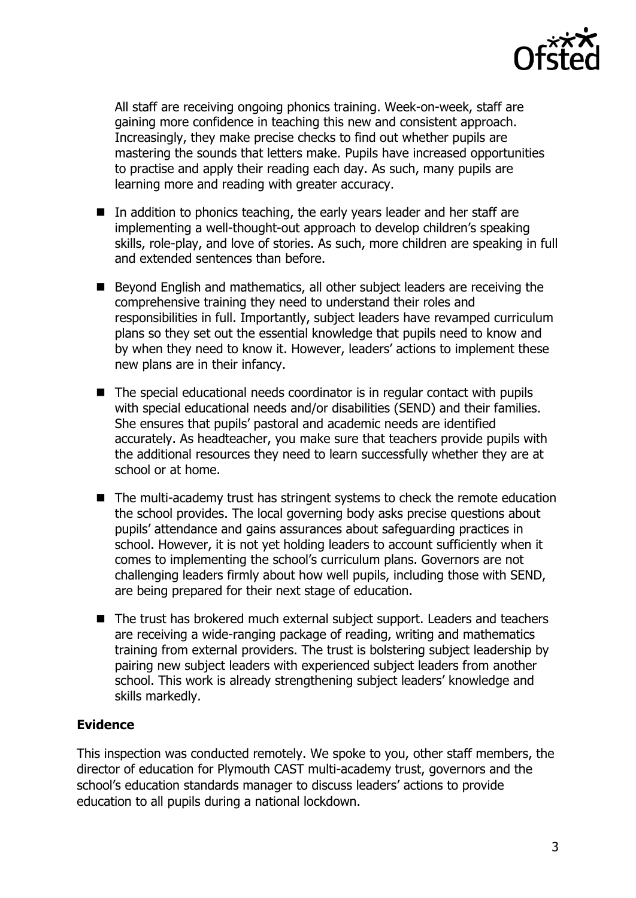

All staff are receiving ongoing phonics training. Week-on-week, staff are gaining more confidence in teaching this new and consistent approach. Increasingly, they make precise checks to find out whether pupils are mastering the sounds that letters make. Pupils have increased opportunities to practise and apply their reading each day. As such, many pupils are learning more and reading with greater accuracy.

- In addition to phonics teaching, the early years leader and her staff are implementing a well-thought-out approach to develop children's speaking skills, role-play, and love of stories. As such, more children are speaking in full and extended sentences than before.
- Beyond English and mathematics, all other subject leaders are receiving the comprehensive training they need to understand their roles and responsibilities in full. Importantly, subject leaders have revamped curriculum plans so they set out the essential knowledge that pupils need to know and by when they need to know it. However, leaders' actions to implement these new plans are in their infancy.
- The special educational needs coordinator is in regular contact with pupils with special educational needs and/or disabilities (SEND) and their families. She ensures that pupils' pastoral and academic needs are identified accurately. As headteacher, you make sure that teachers provide pupils with the additional resources they need to learn successfully whether they are at school or at home.
- The multi-academy trust has stringent systems to check the remote education the school provides. The local governing body asks precise questions about pupils' attendance and gains assurances about safeguarding practices in school. However, it is not yet holding leaders to account sufficiently when it comes to implementing the school's curriculum plans. Governors are not challenging leaders firmly about how well pupils, including those with SEND, are being prepared for their next stage of education.
- The trust has brokered much external subject support. Leaders and teachers are receiving a wide-ranging package of reading, writing and mathematics training from external providers. The trust is bolstering subject leadership by pairing new subject leaders with experienced subject leaders from another school. This work is already strengthening subject leaders' knowledge and skills markedly.

## **Evidence**

This inspection was conducted remotely. We spoke to you, other staff members, the director of education for Plymouth CAST multi-academy trust, governors and the school's education standards manager to discuss leaders' actions to provide education to all pupils during a national lockdown.